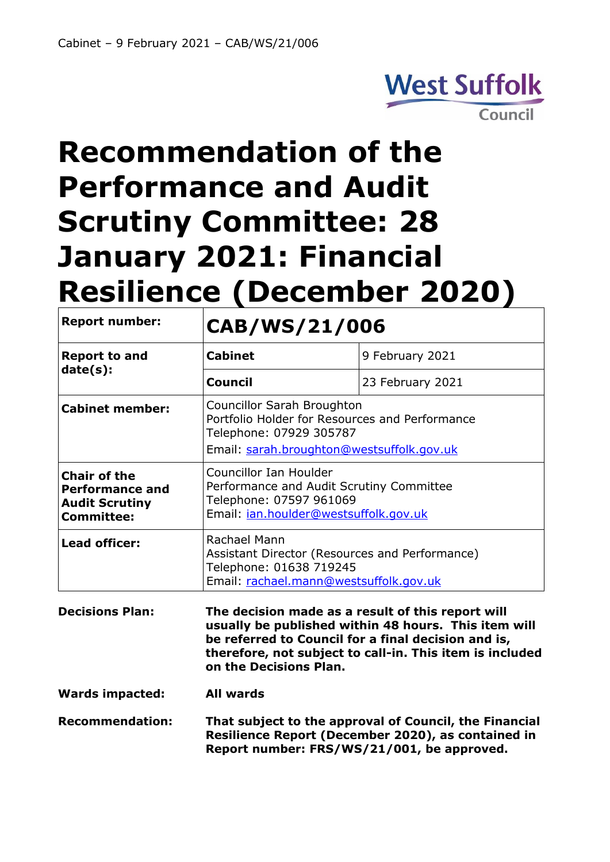## **West Suffolk** Council

# **Recommendation of the Performance and Audit Scrutiny Committee: 28 January 2021: Financial Resilience (December 2020)**

| <b>Report number:</b>                                                                       | CAB/WS/21/006                                                                                                                                                                                                                                          |                  |
|---------------------------------------------------------------------------------------------|--------------------------------------------------------------------------------------------------------------------------------------------------------------------------------------------------------------------------------------------------------|------------------|
| <b>Report to and</b><br>date(s):                                                            | <b>Cabinet</b>                                                                                                                                                                                                                                         | 9 February 2021  |
|                                                                                             | <b>Council</b>                                                                                                                                                                                                                                         | 23 February 2021 |
| <b>Cabinet member:</b>                                                                      | <b>Councillor Sarah Broughton</b><br>Portfolio Holder for Resources and Performance<br>Telephone: 07929 305787<br>Email: sarah.broughton@westsuffolk.gov.uk                                                                                            |                  |
| <b>Chair of the</b><br><b>Performance and</b><br><b>Audit Scrutiny</b><br><b>Committee:</b> | <b>Councillor Ian Houlder</b><br>Performance and Audit Scrutiny Committee<br>Telephone: 07597 961069<br>Email: ian.houlder@westsuffolk.gov.uk                                                                                                          |                  |
| <b>Lead officer:</b>                                                                        | Rachael Mann<br>Assistant Director (Resources and Performance)<br>Telephone: 01638 719245<br>Email: rachael.mann@westsuffolk.gov.uk                                                                                                                    |                  |
| <b>Decisions Plan:</b>                                                                      | The decision made as a result of this report will<br>usually be published within 48 hours. This item will<br>be referred to Council for a final decision and is,<br>therefore, not subject to call-in. This item is included<br>on the Decisions Plan. |                  |
| <b>Wards impacted:</b>                                                                      | <b>All wards</b>                                                                                                                                                                                                                                       |                  |
| <b>Recommendation:</b>                                                                      | That subject to the approval of Council, the Financial<br>Resilience Report (December 2020), as contained in<br>Report number: FRS/WS/21/001, be approved.                                                                                             |                  |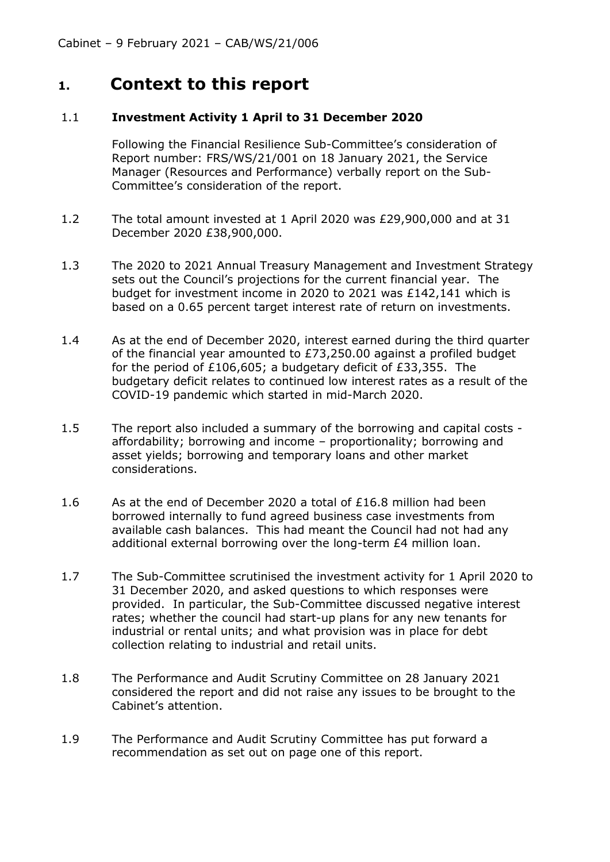#### **1. Context to this report**

#### 1.1 **Investment Activity 1 April to 31 December 2020**

Following the Financial Resilience Sub-Committee's consideration of Report number: FRS/WS/21/001 on 18 January 2021, the Service Manager (Resources and Performance) verbally report on the Sub-Committee's consideration of the report.

- 1.2 The total amount invested at 1 April 2020 was £29,900,000 and at 31 December 2020 £38,900,000.
- 1.3 The 2020 to 2021 Annual Treasury Management and Investment Strategy sets out the Council's projections for the current financial year. The budget for investment income in 2020 to 2021 was £142,141 which is based on a 0.65 percent target interest rate of return on investments.
- 1.4 As at the end of December 2020, interest earned during the third quarter of the financial year amounted to  $E$ 73,250.00 against a profiled budget for the period of £106,605; a budgetary deficit of £33,355. The budgetary deficit relates to continued low interest rates as a result of the COVID-19 pandemic which started in mid-March 2020.
- 1.5 The report also included a summary of the borrowing and capital costs affordability; borrowing and income – proportionality; borrowing and asset yields; borrowing and temporary loans and other market considerations.
- 1.6 As at the end of December 2020 a total of £16.8 million had been borrowed internally to fund agreed business case investments from available cash balances. This had meant the Council had not had any additional external borrowing over the long-term £4 million loan.
- 1.7 The Sub-Committee scrutinised the investment activity for 1 April 2020 to 31 December 2020, and asked questions to which responses were provided. In particular, the Sub-Committee discussed negative interest rates; whether the council had start-up plans for any new tenants for industrial or rental units; and what provision was in place for debt collection relating to industrial and retail units.
- 1.8 The Performance and Audit Scrutiny Committee on 28 January 2021 considered the report and did not raise any issues to be brought to the Cabinet's attention.
- 1.9 The Performance and Audit Scrutiny Committee has put forward a recommendation as set out on page one of this report.